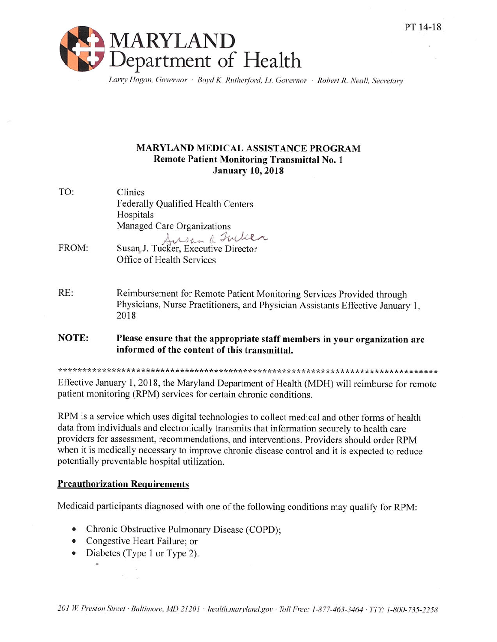

Larry Hogan, Governor · Boyd K. Rutherford, Lt. Governor · Robert R. Neall, Secretary

## **MARYLAND MEDICAL ASSISTANCE PROGRAM Remote Patient Monitoring Transmittal No. 1 January 10, 2018**

| TO:   | Clinics<br>Federally Qualified Health Centers<br>Hospitals                                                                                                      |
|-------|-----------------------------------------------------------------------------------------------------------------------------------------------------------------|
|       | Managed Care Organizations<br>Susan J. Tucker, Executive Director                                                                                               |
| FROM: | Office of Health Services                                                                                                                                       |
| RE:   | Reimbursement for Remote Patient Monitoring Services Provided through<br>Physicians, Nurse Practitioners, and Physician Assistants Effective January 1,<br>2018 |
| NOTE: | Please ensure that the appropriate staff members in your organization are<br>informed of the content of this transmittal.                                       |

Effective January 1, 2018, the Maryland Department of Health (MDH) will reimburse for remote patient monitoring (RPM) services for certain chronic conditions.

RPM is a service which uses digital technologies to collect medical and other forms of health data from individuals and electronically transmits that information securely to health care providers for assessment, recommendations, and interventions. Providers should order RPM when it is medically necessary to improve chronic disease control and it is expected to reduce potentially preventable hospital utilization.

## **Preauthorization Requirements**

Medicaid participants diagnosed with one of the following conditions may qualify for RPM:

- Chronic Obstructive Pulmonary Disease (COPD);
- Congestive Heart Failure; or
- Diabetes (Type 1 or Type 2).